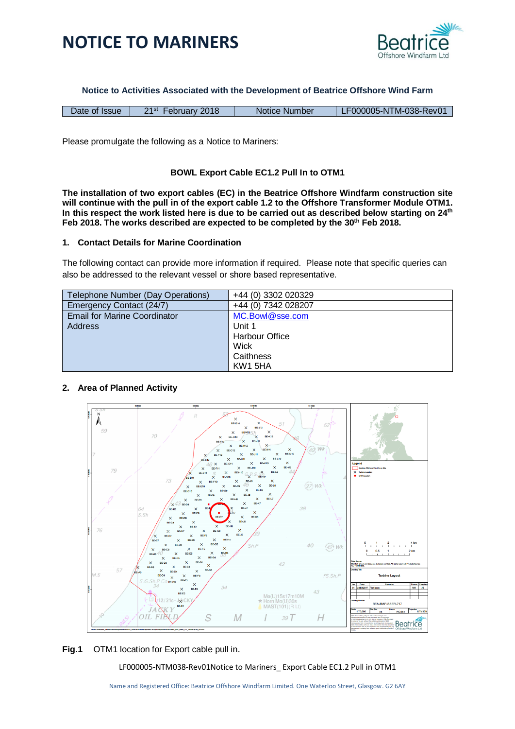



**Notice to Activities Associated with the Development of Beatrice Offshore Wind Farm**

| Date of Issue | 21 <sup>st</sup> February 2018 | Notice Number | LF000005-NTM-038-Rev01 |
|---------------|--------------------------------|---------------|------------------------|

Please promulgate the following as a Notice to Mariners:

### **BOWL Export Cable EC1.2 Pull In to OTM1**

**The installation of two export cables (EC) in the Beatrice Offshore Windfarm construction site will continue with the pull in of the export cable 1.2 to the Offshore Transformer Module OTM1. In this respect the work listed here is due to be carried out as described below starting on 24th Feb 2018. The works described are expected to be completed by the 30th Feb 2018.**

#### **1. Contact Details for Marine Coordination**

The following contact can provide more information if required. Please note that specific queries can also be addressed to the relevant vessel or shore based representative.

| Telephone Number (Day Operations)   | +44 (0) 3302 020329   |
|-------------------------------------|-----------------------|
| Emergency Contact (24/7)            | +44 (0) 7342 028207   |
| <b>Email for Marine Coordinator</b> | MC.Bowl@sse.com       |
| <b>Address</b>                      | Unit 1                |
|                                     | <b>Harbour Office</b> |
|                                     | Wick                  |
|                                     | Caithness             |
|                                     | KW1 5HA               |

### **2. Area of Planned Activity**





LF000005-NTM038-Rev01Notice to Mariners\_ Export Cable EC1.2 Pull in OTM1

Name and Registered Office: Beatrice Offshore Windfarm Limited. One Waterloo Street, Glasgow. G2 6AY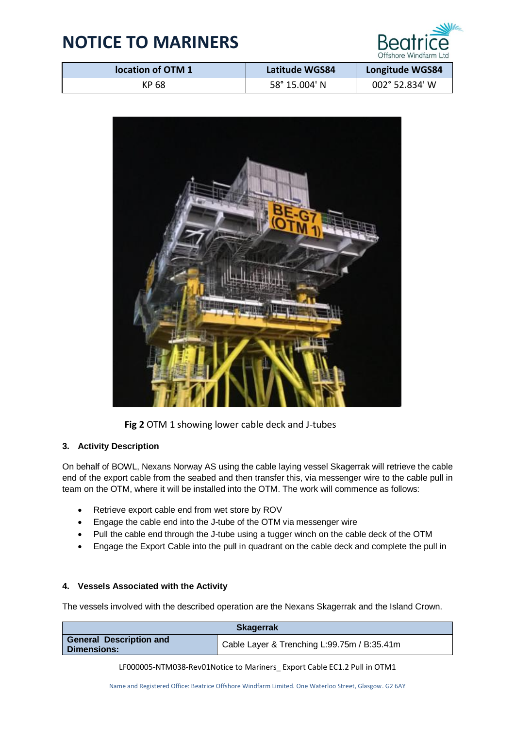

| location of OTM 1 | Latitude WGS84 | <b>Longitude WGS84</b> |
|-------------------|----------------|------------------------|
| KP 68             | 58° 15.004' N  | 002° 52.834' W         |



**Fig 2** OTM 1 showing lower cable deck and J-tubes

## **3. Activity Description**

On behalf of BOWL, Nexans Norway AS using the cable laying vessel Skagerrak will retrieve the cable end of the export cable from the seabed and then transfer this, via messenger wire to the cable pull in team on the OTM, where it will be installed into the OTM. The work will commence as follows:

- Retrieve export cable end from wet store by ROV
- Engage the cable end into the J-tube of the OTM via messenger wire
- Pull the cable end through the J-tube using a tugger winch on the cable deck of the OTM
- Engage the Export Cable into the pull in quadrant on the cable deck and complete the pull in

## **4. Vessels Associated with the Activity**

The vessels involved with the described operation are the Nexans Skagerrak and the Island Crown.

| <b>Skagerrak</b>                              |                                             |
|-----------------------------------------------|---------------------------------------------|
| <b>General Description and</b><br>Dimensions: | Cable Layer & Trenching L:99.75m / B:35.41m |

LF000005-NTM038-Rev01Notice to Mariners\_ Export Cable EC1.2 Pull in OTM1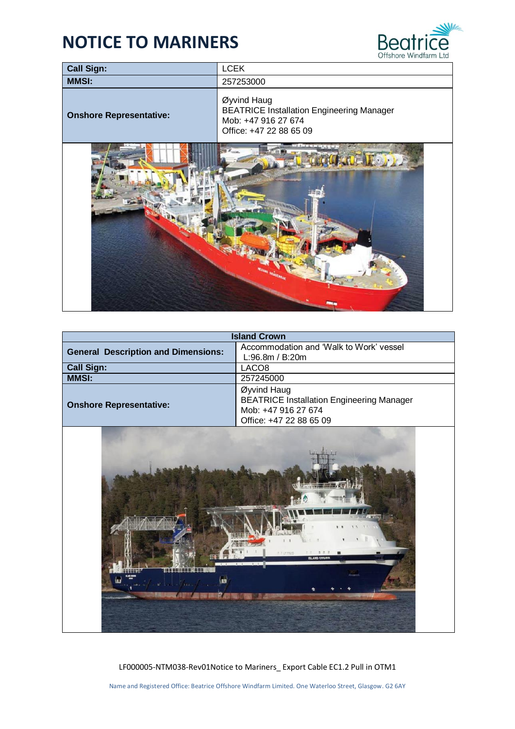

| <b>Call Sign:</b>              | <b>LCEK</b>                                                                                                       |
|--------------------------------|-------------------------------------------------------------------------------------------------------------------|
| <b>MMSI:</b>                   | 257253000                                                                                                         |
| <b>Onshore Representative:</b> | Øyvind Haug<br><b>BEATRICE Installation Engineering Manager</b><br>Mob: +47 916 27 674<br>Office: +47 22 88 65 09 |
|                                |                                                                                                                   |

| <b>Island Crown</b>                        |                                                                                                                   |  |
|--------------------------------------------|-------------------------------------------------------------------------------------------------------------------|--|
| <b>General Description and Dimensions:</b> | Accommodation and 'Walk to Work' vessel<br>L:96.8m / B:20m                                                        |  |
| <b>Call Sign:</b>                          | LACO <sub>8</sub>                                                                                                 |  |
| <b>MMSI:</b>                               | 257245000                                                                                                         |  |
| <b>Onshore Representative:</b>             | Øyvind Haug<br><b>BEATRICE Installation Engineering Manager</b><br>Mob: +47 916 27 674<br>Office: +47 22 88 65 09 |  |



LF000005-NTM038-Rev01Notice to Mariners\_ Export Cable EC1.2 Pull in OTM1

Name and Registered Office: Beatrice Offshore Windfarm Limited. One Waterloo Street, Glasgow. G2 6AY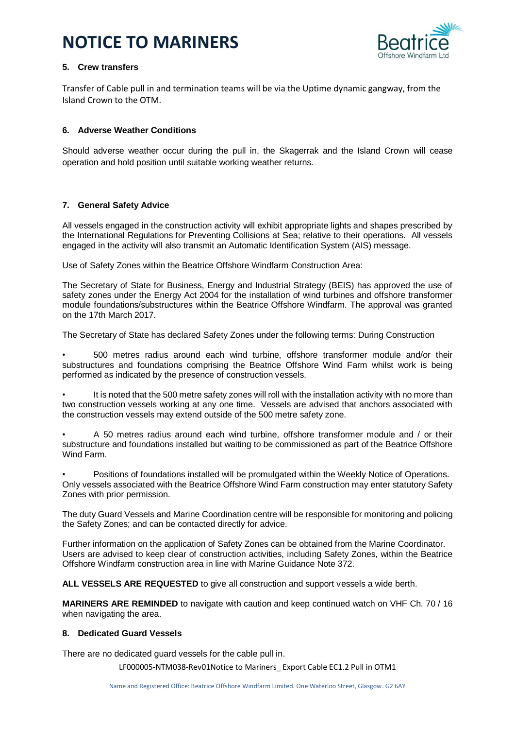

## **5. Crew transfers**

Transfer of Cable pull in and termination teams will be via the Uptime dynamic gangway, from the Island Crown to the OTM.

### **6. Adverse Weather Conditions**

Should adverse weather occur during the pull in, the Skagerrak and the Island Crown will cease operation and hold position until suitable working weather returns.

## **7. General Safety Advice**

All vessels engaged in the construction activity will exhibit appropriate lights and shapes prescribed by the International Regulations for Preventing Collisions at Sea; relative to their operations. All vessels engaged in the activity will also transmit an Automatic Identification System (AIS) message.

Use of Safety Zones within the Beatrice Offshore Windfarm Construction Area:

The Secretary of State for Business, Energy and Industrial Strategy (BEIS) has approved the use of safety zones under the Energy Act 2004 for the installation of wind turbines and offshore transformer module foundations/substructures within the Beatrice Offshore Windfarm. The approval was granted on the 17th March 2017.

The Secretary of State has declared Safety Zones under the following terms: During Construction

• 500 metres radius around each wind turbine, offshore transformer module and/or their substructures and foundations comprising the Beatrice Offshore Wind Farm whilst work is being performed as indicated by the presence of construction vessels.

• It is noted that the 500 metre safety zones will roll with the installation activity with no more than two construction vessels working at any one time. Vessels are advised that anchors associated with the construction vessels may extend outside of the 500 metre safety zone.

• A 50 metres radius around each wind turbine, offshore transformer module and / or their substructure and foundations installed but waiting to be commissioned as part of the Beatrice Offshore Wind Farm.

• Positions of foundations installed will be promulgated within the Weekly Notice of Operations. Only vessels associated with the Beatrice Offshore Wind Farm construction may enter statutory Safety Zones with prior permission.

The duty Guard Vessels and Marine Coordination centre will be responsible for monitoring and policing the Safety Zones; and can be contacted directly for advice.

Further information on the application of Safety Zones can be obtained from the Marine Coordinator. Users are advised to keep clear of construction activities, including Safety Zones, within the Beatrice Offshore Windfarm construction area in line with Marine Guidance Note 372.

**ALL VESSELS ARE REQUESTED** to give all construction and support vessels a wide berth.

**MARINERS ARE REMINDED** to navigate with caution and keep continued watch on VHF Ch. 70 / 16 when navigating the area.

### **8. Dedicated Guard Vessels**

There are no dedicated guard vessels for the cable pull in.

LF000005-NTM038-Rev01Notice to Mariners\_ Export Cable EC1.2 Pull in OTM1